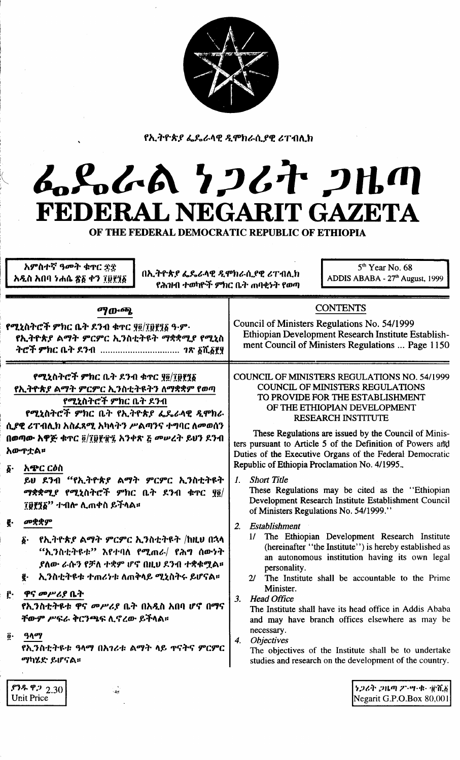

የኢትዮጵያ ፌዴራላዊ ዲሞክራሲያዊ ሪፐብሊክ

# んとんれ クンムヤ コルの FEDERAL NEGARIT GAZETA

OF THE FEDERAL DEMOCRATIC REPUBLIC OF ETHIOPIA

አምስተኛ ዓመት ቁዋር ድድ አዲስ አበባ ነሐሴ ጽ፩ ቀን ፲፱፻፺፩

በኢትዮጵያ ፌዴራላዊ ዲሞክራሲያዊ ሪፐብሊክ የሕዝብ ተወካዮች ምክር ቤት ጠባቂነት የወጣ

 $5<sup>th</sup>$  Year No. 68 ADDIS ABABA - 27<sup>th</sup> August, 1999

## ማውጫ

የሚኒስትሮች ምክር ቤት ደንብ ቁዋር ፃ፬/ፐ፬የፃδ ዓ·ም· የኢትዮጵያ ልማት ምርምር ኢንስቲትዩት ማቋቋሚያ የሚኒስ 

## የሚኒስትሮች ምክር ቤት ደንብ ቁጥር <u>የ፬/፲፱፻</u>፺፩ የኢትዮጵያ ልማት ምርምር ኢንስቲትዩትን ለማቋቋም የወጣ የሚኒስትሮች ምክር ቤት ደንብ

የሚኒስትሮች ምክር ቤት የኢትዮጵያ ፌዴራላዊ ዲሞክራ ሲያዊ ሪፐብሊክ አስፌጻሚ አካላትን ሥልጣንና ተግባር ለመወሰን በወጣው አዋጅ ቁጥር ፬/፲፱፻፹፯ አንቀጽ ፩ መሥረት ይህን ደንብ አው**ዋቷል**።

አጭር ርዕስ я.

> ይህ ደንብ "የኢትዮጵያ ልማት ምርምር ኢንስቲትዩት ማቋቋሚያ የሚኒስትሮች ምክር ቤት ደንብ ቁጥር ፶፬/ ፲፱፻፺፩'' ተብሎ ሊጠቀስ ይችላል።

- መቋቋም
	- የኢትዮጵያ ልማት ምርምር ኢንስቲትዩት /ከዚህ በኋላ  $\delta$  . "ኢንስቲትዩቱ" እየተባለ የሚጠራ/ የሕግ ሰውነት ያለው ራሱን የቻለ ተቋም ሆኖ በዚህ ደንብ ተቋቁሟል። ፪· ኢንስቲትዩቱ ተጠሪነቱ ለጠቅላይ ሚኒስትሩ ይሆናል፡፡
- ը. ዋና መሥሪያ ቤት

<u>የኢንስቲትዩቱ ዋና መሥሪያ ቤት በአዲስ አበባ ሆኖ በማና</u> ቸውም ሥፍራ ቅርንጫፍ ሊኖረው ይችላል።

ዓላማ ő.

 $93.99922.30$ 

**Unit Price** 

የኢንስቲትዩቱ ዓላማ በአገሪቱ ልማት ላይ ዋናትና ምርምር ማካሄድ ይሆናል።

## COUNCIL OF MINISTERS REGULATIONS NO. 54/1999 **COUNCIL OF MINISTERS REGULATIONS** TO PROVIDE FOR THE ESTABLISHMENT OF THE ETHIOPIAN DEVELOPMENT RESEARCH INSTITUTE

**CONTENTS** 

Ethiopian Development Research Institute Establish-

ment Council of Ministers Regulations ... Page 1150

Council of Ministers Regulations No. 54/1999

These Regulations are issued by the Council of Ministers pursuant to Article 5 of the Definition of Powers and Duties of the Executive Organs of the Federal Democratic Republic of Ethiopia Proclamation No. 4/1995.

**Short Title**  $\mathcal{L}$ 

These Regulations may be cited as the "Ethiopian Development Research Institute Establishment Council of Ministers Regulations No. 54/1999."

- 2. Establishment
	- 1/ The Ethiopian Development Research Institute (hereinafter "the Institute") is hereby established as an autonomous institution having its own legal personality.
	- $2l$ The Institute shall be accountable to the Prime Minister.
- 3. Head Office

The Institute shall have its head office in Addis Ababa and may have branch offices elsewhere as may be necessary.

 $\boldsymbol{4}$ . **Objectives** 

The objectives of the Institute shall be to undertake studies and research on the development of the country.

> うつるそ つルの ク・ツ・セー 電童義 Negarit G.P.O.Box 80,001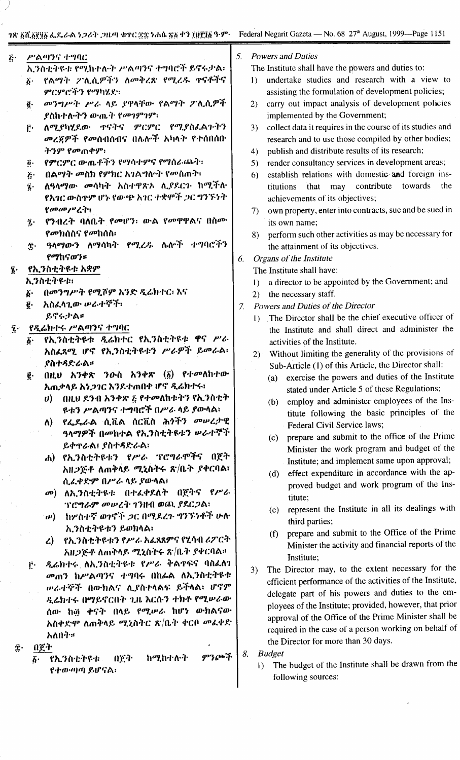#### ሥልጣንና ተግባር  $\ddot{c}$

- ኢንስቲትዩቱ የሚከተሉት ሥልጣንና ተግባሮች ይኖሩታል፡ የልማት ፖሊሲዎችን ለመቅረጽ የሚረዱ ዋናቶችና  $\ddot{b}$ .
	- ምርምሮችን የማካሄድ፡
	- መንግሥት ሥራ ላይ የዋላቸው የልማት ፖሊሲዎች ë. **ያስከተሉትን ው**ጤት የመገምገም፡
	- ለሚያካሂደው ዋናትና ምርምር የሚያስፌልጉትን Ē٠ መረጀዎች የመሰብሰብና በሌሎች አካላት የተሰበሰቡ ትንም የመጠቀም፡
	- የምርምር ውጤቶችን የማሳተምና የማስራጨት፡  $\ddot{\mathbf{a}}$ .
	- በልማት መስክ የምክር አገልግሎት የመስጠት፡  $\ddot{c}$
	- ለዓላማው መሳካት አስተዋጽኦ ሊያደርጉ ከሚችሉ  $\ddot{\imath}$ . የአገር ውስዋም ሆኑ የውጭ አገር ተቋሞች ጋር ግንኙነት የመመሥረት:
	- የንብረት ባለቤት የመሆን: ውል የመዋዋልና በስሙ ĵ٠ *የመክ*ሰስና የመከሰስ፡
	- ዓላማውን ለማሳካት የሚረዱ ሴሎች ተግባሮችን Ϋ́· የማከናወን።

#### የኢንስቲትዩቱ አቋም  $\mathbf{\hat{i}}$ .

ኢንስቲትዩቱ፡

- በመንግሥት የሚሾም አንድ ዲሬክተር፡ እና б.
- አስፈላጊው ሥራተኞች፣ ġ.
- ይኖሩታል።
- የዲሬክተሩ ሥልጣንና ተግባር  $\hat{\mathbf{z}}$ .
	- የኢንስቲትዩቱ ዲሬክተር የኢንስቲትዩቱ ዋና ሥራ አስፈጸሚ ሆኖ የኢንስቲትዩቱን ሥራዎች ይመራል፡ **ያስተ**ዳድራል፡፡
	- $(0)$   $(1)$   $(1)$   $(2)$   $(3)$   $(3)$   $(4)$   $(5)$   $(5)$   $(7)$   $(6)$   $(8)$   $(1)$   $(1)$   $(1)$   $(1)$   $(1)$   $(1)$   $(1)$   $(1)$   $(1)$   $(1)$   $(1)$   $(1)$   $(1)$   $(1)$   $(1)$   $(1)$   $(1)$   $(1)$   $(1)$   $(1)$   $(1)$   $(1)$   $(1)$   $(1)$   $(1)$ ĝ. አጠቃላይ አነ*ጋገ*ር እንደተጠበቀ ሆኖ ዲሬክተሩ፣
		- በዚህ ደንብ አንቀጽ ፩ የተመለከቱትን የኢንስቲት U) <u>ዩቱን ሥልጣንና ተግባሮች በሥራ ላይ ያውላል፣</u>
		- የፌዶራል ሲቪል ሰርቪስ ሕጎችን መሠረታዊ ለ) -ዓላማዎች በመከተል የኢንስቲትዩቱን ሥራተኞች ይቀዋራል፣ ያስተዳድራል፣
		- ሐ) የኢንስቲትዩቱን የሥራ ፕሮግራሞችና በጀት አዘጋጅቶ ለጠቅላይ ሚኒስትሩ ጽ/ቤት ያቀርባል፣ ሲፌቀድም በሥራ ላይ ያውላል፣
		- መ) ለኢንስቲትዩቱ በተፈቀደለት በጀትና የሥራ ፕሮግራም መሥረት ገንዘብ ወጪ ያደርጋል፤
		- ω) ከሦስተኛ ወገኖች ጋር በሚደረጉ ግንኙነቶች ሁሉ ኢንስቲትዩቱን ይወክላል፤
		- ረ) የኢንስቲትዩቱን የሥራ አፌጻጸምና የሂሳብ ሪፖርተ አዘጋጅቶ ለጠቅላይ ሚኒስትሩ ጽ/ቤት ያቀርባል።
	- ዲሬክተሩ ለኢንስቲትዩቱ የሥራ ቅልኖፍና ባስፌለን ŗ٠ መጠን ከሥልጣንና ተግባሩ በከፊል ለኢንስቲትዩቱ ሥራተኞች በውክልና ሊያስተላልፍ ይችላል፣ ሆኖም ዲሬክተሩ በማይኖርበት ጊዜ እርሱን ተክቶ የሚሥራው ሰው ከ፴ ቀናት በላይ የሚሥራ ከሆነ ውክልናው አስቀድሞ ለጠቅላይ ሚኒስትር ጽ/ቤት ቀርቦ መፈቀድ አለበት።
	- በጀት
		- ምንጮች ከሚከተሉት የኢንስቲትዩቱ 027<sup>.</sup> δ. የተውጣጣ ይሆናል፡

**Powers and Duties** 5.

The Institute shall have the powers and duties to:

- undertake studies and research with a view to  $\mathbf{D}$ assisting the formulation of development policies;
- carry out impact analysis of development policies  $2)$ implemented by the Government;
- collect data it requires in the course of its studies and  $3)$ research and to use those compiled by other bodies;
- publish and distribute results of its research;  $4)$
- render consultancy services in development areas;  $5)$
- establish relations with domestic and foreign ins-6) contribute towards that may the titutions achievements of its objectives;
- own property, enter into contracts, sue and be sued in  $(7)$ its own name;
- perform such other activities as may be necessary for  $8)$ the attainment of its objectives.
- 6. Organs of the Institute
	- The Institute shall have:
	- 1) a director to be appointed by the Government; and
	- the necessary staff.  $(2)$
- Powers and Duties of the Director  $7<sup>1</sup>$ 
	- 1) The Director shall be the chief executive officer of the Institute and shall direct and administer the activities of the Institute.
	- Without limiting the generality of the provisions of  $2)$ Sub-Article (1) of this Article, the Director shall:
		- exercise the powers and duties of the Institute  $(a)$ stated under Article 5 of these Regulations;
		- employ and administer employees of the Ins- $(b)$ titute following the basic principles of the Federal Civil Service laws;
		- prepare and submit to the office of the Prime  $(c)$ Minister the work program and budget of the Institute; and implement same upon approval;
		- (d) effect expenditure in accordance with the approved budget and work program of the Institute:
		- (e) represent the Institute in all its dealings with third parties;
		- prepare and submit to the Office of the Prime  $(f)$ Minister the activity and financial reports of the Institute:
	- The Director may, to the extent necessary for the  $3)$ efficient performance of the activities of the Institute, delegate part of his powers and duties to the employees of the Institute; provided, however, that prior approval of the Office of the Prime Minister shall be required in the case of a person working on behalf of the Director for more than 30 days.

**Budget** 8.

The budget of the Institute shall be drawn from the  $\mathbf{D}$ following sources: